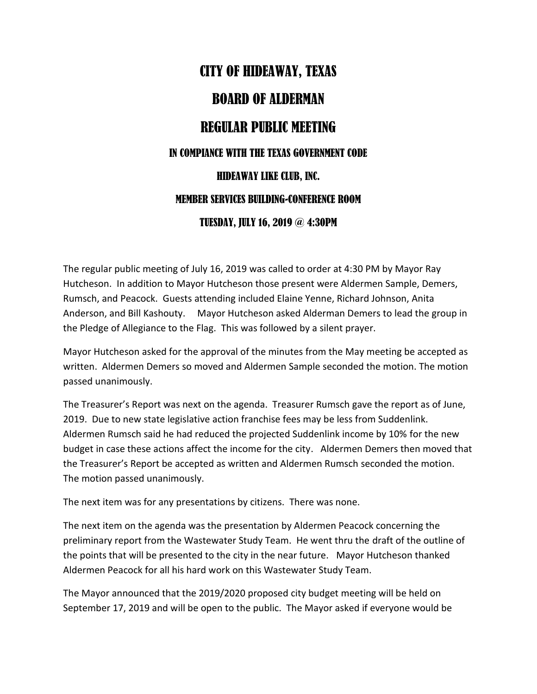## CITY OF HIDEAWAY, TEXAS BOARD OF ALDERMAN REGULAR PUBLIC MEETING IN COMPIANCE WITH THE TEXAS GOVERNMENT CODE HIDEAWAY LIKE CLUB, INC. MEMBER SERVICES BUILDING-CONFERENCE ROOM TUESDAY, JULY 16, 2019 @ 4:30PM

The regular public meeting of July 16, 2019 was called to order at 4:30 PM by Mayor Ray Hutcheson. In addition to Mayor Hutcheson those present were Aldermen Sample, Demers, Rumsch, and Peacock. Guests attending included Elaine Yenne, Richard Johnson, Anita Anderson, and Bill Kashouty. Mayor Hutcheson asked Alderman Demers to lead the group in the Pledge of Allegiance to the Flag. This was followed by a silent prayer.

Mayor Hutcheson asked for the approval of the minutes from the May meeting be accepted as written. Aldermen Demers so moved and Aldermen Sample seconded the motion. The motion passed unanimously.

The Treasurer's Report was next on the agenda. Treasurer Rumsch gave the report as of June, 2019. Due to new state legislative action franchise fees may be less from Suddenlink. Aldermen Rumsch said he had reduced the projected Suddenlink income by 10% for the new budget in case these actions affect the income for the city. Aldermen Demers then moved that the Treasurer's Report be accepted as written and Aldermen Rumsch seconded the motion. The motion passed unanimously.

The next item was for any presentations by citizens. There was none.

The next item on the agenda was the presentation by Aldermen Peacock concerning the preliminary report from the Wastewater Study Team. He went thru the draft of the outline of the points that will be presented to the city in the near future. Mayor Hutcheson thanked Aldermen Peacock for all his hard work on this Wastewater Study Team.

The Mayor announced that the 2019/2020 proposed city budget meeting will be held on September 17, 2019 and will be open to the public. The Mayor asked if everyone would be